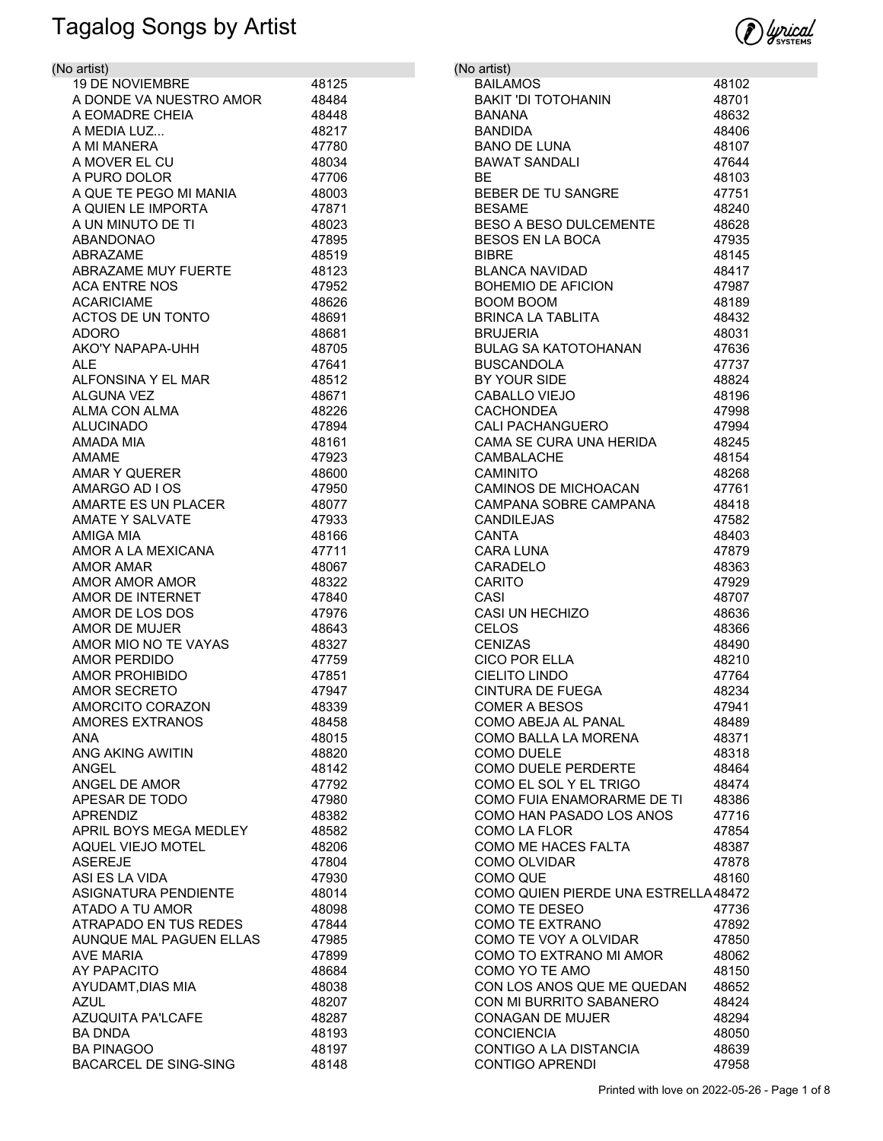| <b>19 DE NOVIEMBRE</b><br>48125<br>A DONDE VA NUESTRO AMOR<br>48484<br>A EOMADRE CHEIA<br>48448<br>A MEDIA LUZ<br>48217<br>A MI MANERA<br>47780<br>A MOVER EL CU<br>48034<br>A PURO DOLOR<br>47706<br>A QUE TE PEGO MI MANIA<br>48003<br>A QUIEN LE IMPORTA<br>47871<br>A UN MINUTO DE TI<br>48023<br><b>ABANDONAO</b><br>47895<br>ABRAZAME<br>48519<br>ABRAZAME MUY FUERTE<br>48123<br><b>ACA ENTRE NOS</b><br>47952<br><b>ACARICIAME</b><br>48626<br>ACTOS DE UN TONTO<br>48691<br>ADORO<br>48681<br><b>AKO'Y NAPAPA-UHH</b><br>48705<br>ALE<br>47641<br>ALFONSINA Y EL MAR<br>48512<br>ALGUNA VEZ<br>48671<br>ALMA CON ALMA<br>48226<br><b>ALUCINADO</b><br>47894<br>AMADA MIA<br>48161<br><b>AMAME</b><br>47923<br><b>AMAR Y QUERER</b><br>48600<br>AMARGO AD I OS<br>47950<br>AMARTE ES UN PLACER<br>48077<br><b>AMATE Y SALVATE</b><br>47933<br>AMIGA MIA<br>48166<br>AMOR A LA MEXICANA<br>47711<br>AMOR AMAR<br>48067<br>AMOR AMOR AMOR<br>48322<br>AMOR DE INTERNET<br>47840<br>AMOR DE LOS DOS<br>47976<br>AMOR DE MUJER<br>48643<br>AMOR MIO NO TE VAYAS<br>48327<br>AMOR PERDIDO<br>47759<br>AMOR PROHIBIDO<br>47851<br>AMOR SECRETO<br>47947<br>48339<br>AMORCITO CORAZON<br>AMORES EXTRANOS<br>48458<br>ANA<br>48015<br>ANG AKING AWITIN<br>48820<br>ANGEL<br>48142<br>ANGEL DE AMOR<br>47792<br>APESAR DE TODO<br>47980<br><b>APRENDIZ</b><br>48382<br>APRIL BOYS MEGA MEDLEY<br>48582<br><b>AQUEL VIEJO MOTEL</b><br>48206<br>ASEREJE<br>47804<br>ASI ES LA VIDA<br>47930<br>ASIGNATURA PENDIENTE<br>48014<br>ATADO A TU AMOR<br>48098<br>ATRAPADO EN TUS REDES<br>47844<br>AUNQUE MAL PAGUEN ELLAS<br>47985<br>AVE MARIA<br>47899<br>AY PAPACITO<br>48684<br>AYUDAMT, DIAS MIA<br>48038<br><b>AZUL</b><br>48207<br><b>AZUQUITA PA'LCAFE</b><br>48287<br>BA DNDA<br>48193 | (No artist) |  |
|-------------------------------------------------------------------------------------------------------------------------------------------------------------------------------------------------------------------------------------------------------------------------------------------------------------------------------------------------------------------------------------------------------------------------------------------------------------------------------------------------------------------------------------------------------------------------------------------------------------------------------------------------------------------------------------------------------------------------------------------------------------------------------------------------------------------------------------------------------------------------------------------------------------------------------------------------------------------------------------------------------------------------------------------------------------------------------------------------------------------------------------------------------------------------------------------------------------------------------------------------------------------------------------------------------------------------------------------------------------------------------------------------------------------------------------------------------------------------------------------------------------------------------------------------------------------------------------------------------------------------------------------------------------------------------------------------------------------------------------------------------------------------------------------|-------------|--|
|                                                                                                                                                                                                                                                                                                                                                                                                                                                                                                                                                                                                                                                                                                                                                                                                                                                                                                                                                                                                                                                                                                                                                                                                                                                                                                                                                                                                                                                                                                                                                                                                                                                                                                                                                                                           |             |  |
|                                                                                                                                                                                                                                                                                                                                                                                                                                                                                                                                                                                                                                                                                                                                                                                                                                                                                                                                                                                                                                                                                                                                                                                                                                                                                                                                                                                                                                                                                                                                                                                                                                                                                                                                                                                           |             |  |
|                                                                                                                                                                                                                                                                                                                                                                                                                                                                                                                                                                                                                                                                                                                                                                                                                                                                                                                                                                                                                                                                                                                                                                                                                                                                                                                                                                                                                                                                                                                                                                                                                                                                                                                                                                                           |             |  |
|                                                                                                                                                                                                                                                                                                                                                                                                                                                                                                                                                                                                                                                                                                                                                                                                                                                                                                                                                                                                                                                                                                                                                                                                                                                                                                                                                                                                                                                                                                                                                                                                                                                                                                                                                                                           |             |  |
|                                                                                                                                                                                                                                                                                                                                                                                                                                                                                                                                                                                                                                                                                                                                                                                                                                                                                                                                                                                                                                                                                                                                                                                                                                                                                                                                                                                                                                                                                                                                                                                                                                                                                                                                                                                           |             |  |
|                                                                                                                                                                                                                                                                                                                                                                                                                                                                                                                                                                                                                                                                                                                                                                                                                                                                                                                                                                                                                                                                                                                                                                                                                                                                                                                                                                                                                                                                                                                                                                                                                                                                                                                                                                                           |             |  |
|                                                                                                                                                                                                                                                                                                                                                                                                                                                                                                                                                                                                                                                                                                                                                                                                                                                                                                                                                                                                                                                                                                                                                                                                                                                                                                                                                                                                                                                                                                                                                                                                                                                                                                                                                                                           |             |  |
|                                                                                                                                                                                                                                                                                                                                                                                                                                                                                                                                                                                                                                                                                                                                                                                                                                                                                                                                                                                                                                                                                                                                                                                                                                                                                                                                                                                                                                                                                                                                                                                                                                                                                                                                                                                           |             |  |
|                                                                                                                                                                                                                                                                                                                                                                                                                                                                                                                                                                                                                                                                                                                                                                                                                                                                                                                                                                                                                                                                                                                                                                                                                                                                                                                                                                                                                                                                                                                                                                                                                                                                                                                                                                                           |             |  |
|                                                                                                                                                                                                                                                                                                                                                                                                                                                                                                                                                                                                                                                                                                                                                                                                                                                                                                                                                                                                                                                                                                                                                                                                                                                                                                                                                                                                                                                                                                                                                                                                                                                                                                                                                                                           |             |  |
|                                                                                                                                                                                                                                                                                                                                                                                                                                                                                                                                                                                                                                                                                                                                                                                                                                                                                                                                                                                                                                                                                                                                                                                                                                                                                                                                                                                                                                                                                                                                                                                                                                                                                                                                                                                           |             |  |
|                                                                                                                                                                                                                                                                                                                                                                                                                                                                                                                                                                                                                                                                                                                                                                                                                                                                                                                                                                                                                                                                                                                                                                                                                                                                                                                                                                                                                                                                                                                                                                                                                                                                                                                                                                                           |             |  |
|                                                                                                                                                                                                                                                                                                                                                                                                                                                                                                                                                                                                                                                                                                                                                                                                                                                                                                                                                                                                                                                                                                                                                                                                                                                                                                                                                                                                                                                                                                                                                                                                                                                                                                                                                                                           |             |  |
|                                                                                                                                                                                                                                                                                                                                                                                                                                                                                                                                                                                                                                                                                                                                                                                                                                                                                                                                                                                                                                                                                                                                                                                                                                                                                                                                                                                                                                                                                                                                                                                                                                                                                                                                                                                           |             |  |
|                                                                                                                                                                                                                                                                                                                                                                                                                                                                                                                                                                                                                                                                                                                                                                                                                                                                                                                                                                                                                                                                                                                                                                                                                                                                                                                                                                                                                                                                                                                                                                                                                                                                                                                                                                                           |             |  |
|                                                                                                                                                                                                                                                                                                                                                                                                                                                                                                                                                                                                                                                                                                                                                                                                                                                                                                                                                                                                                                                                                                                                                                                                                                                                                                                                                                                                                                                                                                                                                                                                                                                                                                                                                                                           |             |  |
|                                                                                                                                                                                                                                                                                                                                                                                                                                                                                                                                                                                                                                                                                                                                                                                                                                                                                                                                                                                                                                                                                                                                                                                                                                                                                                                                                                                                                                                                                                                                                                                                                                                                                                                                                                                           |             |  |
|                                                                                                                                                                                                                                                                                                                                                                                                                                                                                                                                                                                                                                                                                                                                                                                                                                                                                                                                                                                                                                                                                                                                                                                                                                                                                                                                                                                                                                                                                                                                                                                                                                                                                                                                                                                           |             |  |
|                                                                                                                                                                                                                                                                                                                                                                                                                                                                                                                                                                                                                                                                                                                                                                                                                                                                                                                                                                                                                                                                                                                                                                                                                                                                                                                                                                                                                                                                                                                                                                                                                                                                                                                                                                                           |             |  |
|                                                                                                                                                                                                                                                                                                                                                                                                                                                                                                                                                                                                                                                                                                                                                                                                                                                                                                                                                                                                                                                                                                                                                                                                                                                                                                                                                                                                                                                                                                                                                                                                                                                                                                                                                                                           |             |  |
|                                                                                                                                                                                                                                                                                                                                                                                                                                                                                                                                                                                                                                                                                                                                                                                                                                                                                                                                                                                                                                                                                                                                                                                                                                                                                                                                                                                                                                                                                                                                                                                                                                                                                                                                                                                           |             |  |
|                                                                                                                                                                                                                                                                                                                                                                                                                                                                                                                                                                                                                                                                                                                                                                                                                                                                                                                                                                                                                                                                                                                                                                                                                                                                                                                                                                                                                                                                                                                                                                                                                                                                                                                                                                                           |             |  |
|                                                                                                                                                                                                                                                                                                                                                                                                                                                                                                                                                                                                                                                                                                                                                                                                                                                                                                                                                                                                                                                                                                                                                                                                                                                                                                                                                                                                                                                                                                                                                                                                                                                                                                                                                                                           |             |  |
|                                                                                                                                                                                                                                                                                                                                                                                                                                                                                                                                                                                                                                                                                                                                                                                                                                                                                                                                                                                                                                                                                                                                                                                                                                                                                                                                                                                                                                                                                                                                                                                                                                                                                                                                                                                           |             |  |
|                                                                                                                                                                                                                                                                                                                                                                                                                                                                                                                                                                                                                                                                                                                                                                                                                                                                                                                                                                                                                                                                                                                                                                                                                                                                                                                                                                                                                                                                                                                                                                                                                                                                                                                                                                                           |             |  |
|                                                                                                                                                                                                                                                                                                                                                                                                                                                                                                                                                                                                                                                                                                                                                                                                                                                                                                                                                                                                                                                                                                                                                                                                                                                                                                                                                                                                                                                                                                                                                                                                                                                                                                                                                                                           |             |  |
|                                                                                                                                                                                                                                                                                                                                                                                                                                                                                                                                                                                                                                                                                                                                                                                                                                                                                                                                                                                                                                                                                                                                                                                                                                                                                                                                                                                                                                                                                                                                                                                                                                                                                                                                                                                           |             |  |
|                                                                                                                                                                                                                                                                                                                                                                                                                                                                                                                                                                                                                                                                                                                                                                                                                                                                                                                                                                                                                                                                                                                                                                                                                                                                                                                                                                                                                                                                                                                                                                                                                                                                                                                                                                                           |             |  |
|                                                                                                                                                                                                                                                                                                                                                                                                                                                                                                                                                                                                                                                                                                                                                                                                                                                                                                                                                                                                                                                                                                                                                                                                                                                                                                                                                                                                                                                                                                                                                                                                                                                                                                                                                                                           |             |  |
|                                                                                                                                                                                                                                                                                                                                                                                                                                                                                                                                                                                                                                                                                                                                                                                                                                                                                                                                                                                                                                                                                                                                                                                                                                                                                                                                                                                                                                                                                                                                                                                                                                                                                                                                                                                           |             |  |
|                                                                                                                                                                                                                                                                                                                                                                                                                                                                                                                                                                                                                                                                                                                                                                                                                                                                                                                                                                                                                                                                                                                                                                                                                                                                                                                                                                                                                                                                                                                                                                                                                                                                                                                                                                                           |             |  |
|                                                                                                                                                                                                                                                                                                                                                                                                                                                                                                                                                                                                                                                                                                                                                                                                                                                                                                                                                                                                                                                                                                                                                                                                                                                                                                                                                                                                                                                                                                                                                                                                                                                                                                                                                                                           |             |  |
|                                                                                                                                                                                                                                                                                                                                                                                                                                                                                                                                                                                                                                                                                                                                                                                                                                                                                                                                                                                                                                                                                                                                                                                                                                                                                                                                                                                                                                                                                                                                                                                                                                                                                                                                                                                           |             |  |
|                                                                                                                                                                                                                                                                                                                                                                                                                                                                                                                                                                                                                                                                                                                                                                                                                                                                                                                                                                                                                                                                                                                                                                                                                                                                                                                                                                                                                                                                                                                                                                                                                                                                                                                                                                                           |             |  |
|                                                                                                                                                                                                                                                                                                                                                                                                                                                                                                                                                                                                                                                                                                                                                                                                                                                                                                                                                                                                                                                                                                                                                                                                                                                                                                                                                                                                                                                                                                                                                                                                                                                                                                                                                                                           |             |  |
|                                                                                                                                                                                                                                                                                                                                                                                                                                                                                                                                                                                                                                                                                                                                                                                                                                                                                                                                                                                                                                                                                                                                                                                                                                                                                                                                                                                                                                                                                                                                                                                                                                                                                                                                                                                           |             |  |
|                                                                                                                                                                                                                                                                                                                                                                                                                                                                                                                                                                                                                                                                                                                                                                                                                                                                                                                                                                                                                                                                                                                                                                                                                                                                                                                                                                                                                                                                                                                                                                                                                                                                                                                                                                                           |             |  |
|                                                                                                                                                                                                                                                                                                                                                                                                                                                                                                                                                                                                                                                                                                                                                                                                                                                                                                                                                                                                                                                                                                                                                                                                                                                                                                                                                                                                                                                                                                                                                                                                                                                                                                                                                                                           |             |  |
|                                                                                                                                                                                                                                                                                                                                                                                                                                                                                                                                                                                                                                                                                                                                                                                                                                                                                                                                                                                                                                                                                                                                                                                                                                                                                                                                                                                                                                                                                                                                                                                                                                                                                                                                                                                           |             |  |
|                                                                                                                                                                                                                                                                                                                                                                                                                                                                                                                                                                                                                                                                                                                                                                                                                                                                                                                                                                                                                                                                                                                                                                                                                                                                                                                                                                                                                                                                                                                                                                                                                                                                                                                                                                                           |             |  |
|                                                                                                                                                                                                                                                                                                                                                                                                                                                                                                                                                                                                                                                                                                                                                                                                                                                                                                                                                                                                                                                                                                                                                                                                                                                                                                                                                                                                                                                                                                                                                                                                                                                                                                                                                                                           |             |  |
|                                                                                                                                                                                                                                                                                                                                                                                                                                                                                                                                                                                                                                                                                                                                                                                                                                                                                                                                                                                                                                                                                                                                                                                                                                                                                                                                                                                                                                                                                                                                                                                                                                                                                                                                                                                           |             |  |
|                                                                                                                                                                                                                                                                                                                                                                                                                                                                                                                                                                                                                                                                                                                                                                                                                                                                                                                                                                                                                                                                                                                                                                                                                                                                                                                                                                                                                                                                                                                                                                                                                                                                                                                                                                                           |             |  |
|                                                                                                                                                                                                                                                                                                                                                                                                                                                                                                                                                                                                                                                                                                                                                                                                                                                                                                                                                                                                                                                                                                                                                                                                                                                                                                                                                                                                                                                                                                                                                                                                                                                                                                                                                                                           |             |  |
|                                                                                                                                                                                                                                                                                                                                                                                                                                                                                                                                                                                                                                                                                                                                                                                                                                                                                                                                                                                                                                                                                                                                                                                                                                                                                                                                                                                                                                                                                                                                                                                                                                                                                                                                                                                           |             |  |
|                                                                                                                                                                                                                                                                                                                                                                                                                                                                                                                                                                                                                                                                                                                                                                                                                                                                                                                                                                                                                                                                                                                                                                                                                                                                                                                                                                                                                                                                                                                                                                                                                                                                                                                                                                                           |             |  |
|                                                                                                                                                                                                                                                                                                                                                                                                                                                                                                                                                                                                                                                                                                                                                                                                                                                                                                                                                                                                                                                                                                                                                                                                                                                                                                                                                                                                                                                                                                                                                                                                                                                                                                                                                                                           |             |  |
|                                                                                                                                                                                                                                                                                                                                                                                                                                                                                                                                                                                                                                                                                                                                                                                                                                                                                                                                                                                                                                                                                                                                                                                                                                                                                                                                                                                                                                                                                                                                                                                                                                                                                                                                                                                           |             |  |
|                                                                                                                                                                                                                                                                                                                                                                                                                                                                                                                                                                                                                                                                                                                                                                                                                                                                                                                                                                                                                                                                                                                                                                                                                                                                                                                                                                                                                                                                                                                                                                                                                                                                                                                                                                                           |             |  |
|                                                                                                                                                                                                                                                                                                                                                                                                                                                                                                                                                                                                                                                                                                                                                                                                                                                                                                                                                                                                                                                                                                                                                                                                                                                                                                                                                                                                                                                                                                                                                                                                                                                                                                                                                                                           |             |  |
|                                                                                                                                                                                                                                                                                                                                                                                                                                                                                                                                                                                                                                                                                                                                                                                                                                                                                                                                                                                                                                                                                                                                                                                                                                                                                                                                                                                                                                                                                                                                                                                                                                                                                                                                                                                           |             |  |
|                                                                                                                                                                                                                                                                                                                                                                                                                                                                                                                                                                                                                                                                                                                                                                                                                                                                                                                                                                                                                                                                                                                                                                                                                                                                                                                                                                                                                                                                                                                                                                                                                                                                                                                                                                                           |             |  |
|                                                                                                                                                                                                                                                                                                                                                                                                                                                                                                                                                                                                                                                                                                                                                                                                                                                                                                                                                                                                                                                                                                                                                                                                                                                                                                                                                                                                                                                                                                                                                                                                                                                                                                                                                                                           |             |  |
|                                                                                                                                                                                                                                                                                                                                                                                                                                                                                                                                                                                                                                                                                                                                                                                                                                                                                                                                                                                                                                                                                                                                                                                                                                                                                                                                                                                                                                                                                                                                                                                                                                                                                                                                                                                           |             |  |
|                                                                                                                                                                                                                                                                                                                                                                                                                                                                                                                                                                                                                                                                                                                                                                                                                                                                                                                                                                                                                                                                                                                                                                                                                                                                                                                                                                                                                                                                                                                                                                                                                                                                                                                                                                                           |             |  |
|                                                                                                                                                                                                                                                                                                                                                                                                                                                                                                                                                                                                                                                                                                                                                                                                                                                                                                                                                                                                                                                                                                                                                                                                                                                                                                                                                                                                                                                                                                                                                                                                                                                                                                                                                                                           |             |  |
|                                                                                                                                                                                                                                                                                                                                                                                                                                                                                                                                                                                                                                                                                                                                                                                                                                                                                                                                                                                                                                                                                                                                                                                                                                                                                                                                                                                                                                                                                                                                                                                                                                                                                                                                                                                           |             |  |
|                                                                                                                                                                                                                                                                                                                                                                                                                                                                                                                                                                                                                                                                                                                                                                                                                                                                                                                                                                                                                                                                                                                                                                                                                                                                                                                                                                                                                                                                                                                                                                                                                                                                                                                                                                                           |             |  |
| BA PINAGOO<br>48197                                                                                                                                                                                                                                                                                                                                                                                                                                                                                                                                                                                                                                                                                                                                                                                                                                                                                                                                                                                                                                                                                                                                                                                                                                                                                                                                                                                                                                                                                                                                                                                                                                                                                                                                                                       |             |  |
| <b>BACARCEL DE SING-SING</b><br>48148                                                                                                                                                                                                                                                                                                                                                                                                                                                                                                                                                                                                                                                                                                                                                                                                                                                                                                                                                                                                                                                                                                                                                                                                                                                                                                                                                                                                                                                                                                                                                                                                                                                                                                                                                     |             |  |



| (No artist)                                 |                |
|---------------------------------------------|----------------|
| <b>BAILAMOS</b>                             | 48102          |
| <b>BAKIT 'DI TOTOHANIN</b>                  | 48701          |
| <b>BANANA</b>                               | 48632          |
| <b>BANDIDA</b>                              | 48406          |
| <b>BANO DE LUNA</b>                         | 48107          |
| <b>BAWAT SANDALI</b>                        | 47644          |
| ВE                                          | 48103          |
| BEBER DE TU SANGRE                          | 47751          |
| <b>BESAME</b>                               | 48240          |
| <b>BESO A BESO DULCEMENTE</b>               | 48628          |
| BESOS EN LA BOCA                            | 47935          |
| <b>BIBRE</b>                                | 48145          |
| <b>BLANCA NAVIDAD</b>                       | 48417          |
| <b>BOHEMIO DE AFICION</b>                   | 47987          |
| <b>BOOM BOOM</b>                            | 48189          |
| <b>BRINCA LA TABLITA</b>                    | 48432          |
| <b>BRUJERIA</b>                             | 48031          |
| <b>BULAG SA KATOTOHANAN</b>                 | 47636          |
| <b>BUSCANDOLA</b>                           | 47737          |
| BY YOUR SIDE                                | 48824          |
| CABALLO VIEJO                               | 48196          |
| <b>CACHONDEA</b>                            | 47998          |
| <b>CALI PACHANGUERO</b>                     | 47994          |
| CAMA SE CURA UNA HERIDA<br>CAMBALACHE       | 48245          |
|                                             | 48154          |
| CAMINITO<br>CAMINOS DE MICHOACAN            | 48268<br>47761 |
| CAMPANA SOBRE CAMPANA                       | 48418          |
| <b>CANDILEJAS</b>                           | 47582          |
| <b>CANTA</b>                                | 48403          |
| <b>CARA LUNA</b>                            | 47879          |
| CARADELO                                    | 48363          |
| <b>CARITO</b>                               | 47929          |
| CASI                                        | 48707          |
| <b>CASI UN HECHIZO</b>                      | 48636          |
| <b>CELOS</b>                                | 48366          |
| <b>CENIZAS</b>                              | 48490          |
| <b>CICO POR ELLA</b>                        | 48210          |
| CIELITO LINDO                               | 47764          |
| <b>CINTURA DE FUEGA</b>                     | 48234          |
| COMER A BESOS                               | 47941          |
| COMO ABEJA AL PANAL                         | 48489          |
| COMO BALLA LA MORENA                        | 48371          |
| <b>COMO DUELE</b>                           | 48318          |
| COMO DUELE PERDERTE                         | 48464          |
| COMO EL SOL Y EL TRIGO                      | 48474          |
| COMO FUIA ENAMORARME DE TI                  | 48386          |
| COMO HAN PASADO LOS ANOS                    | 47716          |
| <b>COMO LA FLOR</b>                         | 47854          |
| COMO ME HACES FALTA                         | 48387          |
| COMO OLVIDAR                                | 47878          |
| <b>COMO QUE</b>                             | 48160          |
| COMO QUIEN PIERDE UNA ESTRELLA 48472        |                |
| COMO TE DESEO                               | 47736          |
| COMO TE EXTRANO                             | 47892          |
| COMO TE VOY A OLVIDAR                       | 47850          |
| COMO TO EXTRANO MI AMOR                     | 48062          |
| COMO YO TE AMO                              | 48150          |
| CON LOS ANOS QUE ME QUEDAN                  | 48652          |
| CON MI BURRITO SABANERO                     | 48424          |
| <b>CONAGAN DE MUJER</b>                     | 48294          |
| <b>CONCIENCIA</b><br>CONTIGO A LA DISTANCIA | 48050<br>48639 |
| <b>CONTIGO APRENDI</b>                      | 47958          |
|                                             |                |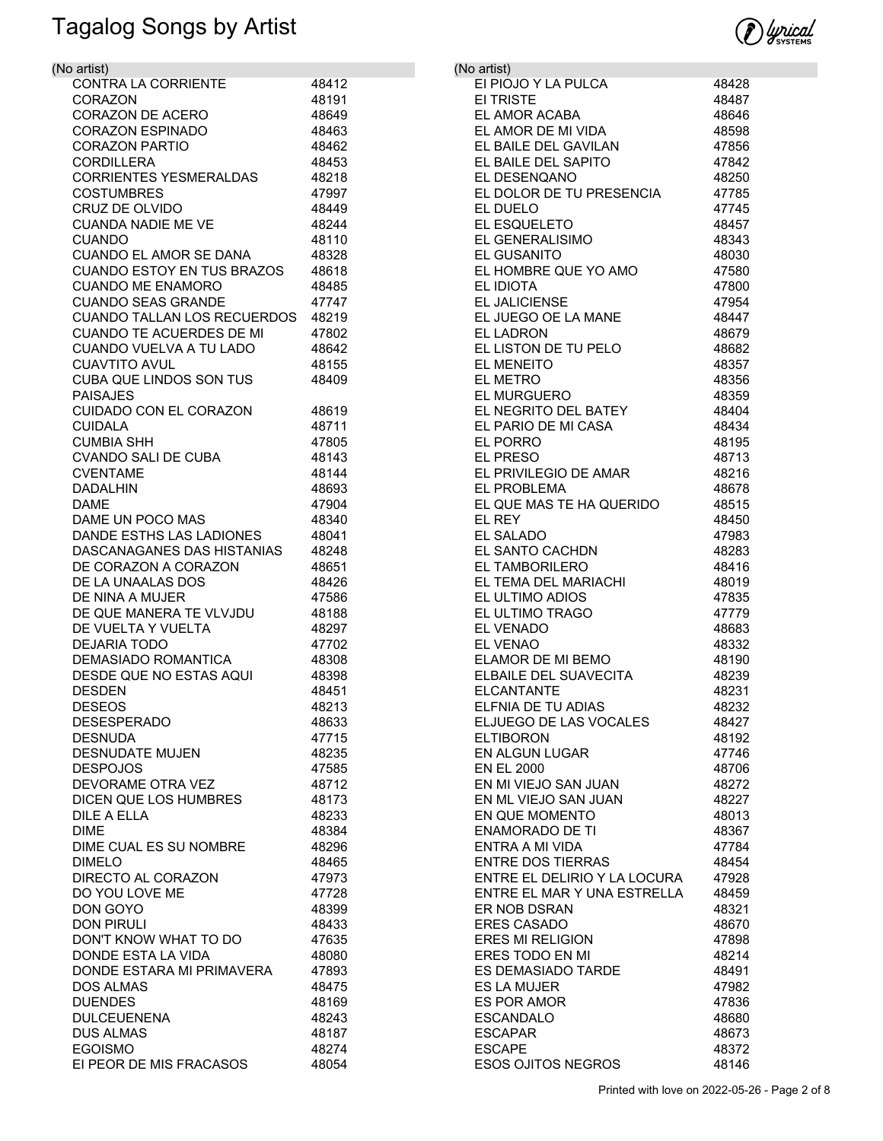| (No artist)                        |       |
|------------------------------------|-------|
| <b>CONTRA LA CORRIENTE</b>         | 48412 |
| CORAZON                            | 48191 |
| <b>CORAZON DE ACERO</b>            | 48649 |
| <b>CORAZON ESPINADO</b>            | 48463 |
| <b>CORAZON PARTIO</b>              | 48462 |
| <b>CORDILLERA</b>                  | 48453 |
| CORRIENTES YESMERALDAS             | 48218 |
| COSTUMBRES                         | 47997 |
| CRUZ DE OLVIDO                     | 48449 |
| <b>CUANDA NADIE ME VE</b>          | 48244 |
| <b>CUANDO</b>                      | 48110 |
| CUANDO EL AMOR SE DANA             | 48328 |
| <b>CUANDO ESTOY EN TUS BRAZOS</b>  | 48618 |
| <b>CUANDO ME ENAMORO</b>           | 48485 |
| <b>CUANDO SEAS GRANDE</b>          | 47747 |
| <b>CUANDO TALLAN LOS RECUERDOS</b> | 48219 |
| CUANDO TE ACUERDES DE MI           | 47802 |
| CUANDO VUELVA A TU LADO            | 48642 |
| <b>CUAVTITO AVUL</b>               | 48155 |
| CUBA QUE LINDOS SON TUS            | 48409 |
| <b>PAISAJES</b>                    |       |
| CUIDADO CON EL CORAZON             | 48619 |
| CUIDALA                            | 48711 |
| <b>CUMBIA SHH</b>                  | 47805 |
| CVANDO SALI DE CUBA                | 48143 |
| <b>CVENTAME</b>                    | 48144 |
| DADALHIN                           | 48693 |
| <b>DAME</b>                        | 47904 |
| DAME UN POCO MAS                   | 48340 |
| DANDE ESTHS LAS LADIONES           | 48041 |
| DASCANAGANES DAS HISTANIAS         | 48248 |
| DE CORAZON A CORAZON               | 48651 |
| DE LA UNAALAS DOS                  | 48426 |
| DE NINA A MUJER                    | 47586 |
| DE QUE MANERA TE VLVJDU            | 48188 |
| DE VUELTA Y VUELTA                 | 48297 |
| <b>DEJARIA TODO</b>                | 47702 |
| <b>DEMASIADO ROMANTICA</b>         | 48308 |
| DESDE QUE NO ESTAS AQUI            | 48398 |
| <b>DESDEN</b>                      | 48451 |
| <b>DESEOS</b>                      | 48213 |
| DESESPERADO                        | 48633 |
| <b>DESNUDA</b>                     | 47715 |
| <b>DESNUDATE MUJEN</b>             | 48235 |
| <b>DESPOJOS</b>                    | 47585 |
| DEVORAME OTRA VEZ                  | 48712 |
| DICEN QUE LOS HUMBRES              | 48173 |
| DILE A ELLA                        | 48233 |
| <b>DIME</b>                        | 48384 |
| DIME CUAL ES SU NOMBRE             | 48296 |
| <b>DIMELO</b>                      | 48465 |
| DIRECTO AL CORAZON                 | 47973 |
| DO YOU LOVE ME                     | 47728 |
| DON GOYO                           | 48399 |
| <b>DON PIRULI</b>                  | 48433 |
| DON'T KNOW WHAT TO DO              | 47635 |
| DONDE ESTA LA VIDA                 | 48080 |
| DONDE ESTARA MI PRIMAVERA          | 47893 |
| <b>DOS ALMAS</b>                   | 48475 |
| <b>DUENDES</b>                     | 48169 |
| <b>DULCEUENENA</b>                 | 48243 |
| <b>DUS ALMAS</b>                   | 48187 |
| <b>EGOISMO</b>                     | 48274 |
| EI PEOR DE MIS FRACASOS            | 48054 |



| (No artist)                                  |                |
|----------------------------------------------|----------------|
| EI PIOJO Y LA PULCA                          | 48428          |
| <b>EI TRISTE</b>                             | 48487          |
| EL AMOR ACABA                                | 48646          |
| EL AMOR DE MI VIDA                           | 48598          |
| EL BAILE DEL GAVILAN                         | 47856          |
| EL BAILE DEL SAPITO                          | 47842          |
| EL DESENQANO<br>EL DOLOR DE TU PRESENCIA     | 48250          |
| EL DUELO                                     | 47785<br>47745 |
| EL ESQUELETO                                 | 48457          |
| EL GENERALISIMO                              | 48343          |
| EL GUSANITO                                  | 48030          |
| EL HOMBRE QUE YO AMO                         | 47580          |
| <b>EL IDIOTA</b>                             | 47800          |
| <b>EL JALICIENSE</b>                         | 47954          |
| EL JUEGO OE LA MANE                          | 48447          |
| <b>EL LADRON</b>                             | 48679          |
| EL LISTON DE TU PELO                         | 48682          |
| <b>EL MENEITO</b>                            | 48357          |
| <b>EL METRO</b>                              | 48356          |
| <b>EL MURGUERO</b>                           | 48359          |
| EL NEGRITO DEL BATEY                         | 48404          |
| EL PARIO DE MI CASA                          | 48434          |
| <b>EL PORRO</b>                              | 48195          |
| <b>EL PRESO</b>                              | 48713          |
| EL PRIVILEGIO DE AMAR<br>EL PROBLEMA         | 48216<br>48678 |
| EL QUE MAS TE HA QUERIDO                     | 48515          |
| EL REY                                       | 48450          |
| EL SALADO                                    | 47983          |
| EL SANTO CACHDN                              | 48283          |
| <b>EL TAMBORILERO</b>                        | 48416          |
| EL TEMA DEL MARIACHI                         | 48019          |
| EL ULTIMO ADIOS                              | 47835          |
| EL ULTIMO TRAGO                              | 47779          |
| <b>EL VENADO</b>                             | 48683          |
| EL VENAO                                     | 48332          |
| <b>ELAMOR DE MI BEMO</b>                     | 48190          |
| ELBAILE DEL SUAVECITA                        | 48239          |
| <b>ELCANTANTE</b>                            | 48231          |
| ELFNIA DE TU ADIAS                           | 48232          |
| ELJUEGO DE LAS VOCALES<br><b>ELTIBORON</b>   | 48427<br>48192 |
| EN ALGUN LUGAR                               | 47746          |
| EN EL 2000                                   | 48706          |
| EN MI VIEJO SAN JUAN                         | 48272          |
| EN ML VIEJO SAN JUAN                         | 48227          |
| EN QUE MOMENTO                               | 48013          |
| <b>ENAMORADO DE TI</b>                       | 48367          |
| ENTRA A MI VIDA                              | 47784          |
| <b>ENTRE DOS TIERRAS</b>                     | 48454          |
| ENTRE EL DELIRIO Y LA LOCURA                 | 47928          |
| ENTRE EL MAR Y UNA ESTRELLA                  | 48459          |
| ER NOB DSRAN                                 | 48321          |
| <b>ERES CASADO</b>                           | 48670          |
| <b>ERES MI RELIGION</b>                      | 47898          |
| ERES TODO EN MI<br><b>ES DEMASIADO TARDE</b> | 48214<br>48491 |
| ES LA MUJER                                  | 47982          |
| ES POR AMOR                                  | 47836          |
| <b>ESCANDALO</b>                             | 48680          |
| <b>ESCAPAR</b>                               | 48673          |
| <b>ESCAPE</b>                                | 48372          |
| <b>ESOS OJITOS NEGROS</b>                    | 48146          |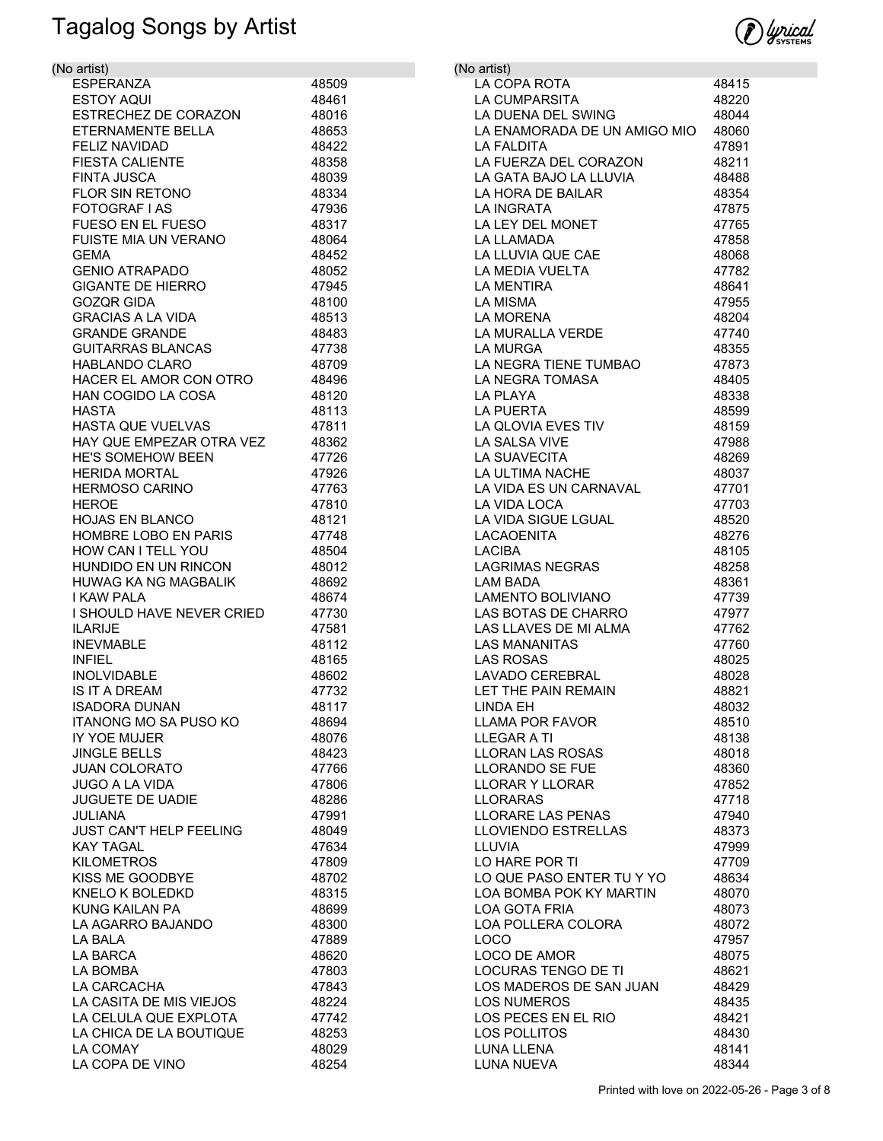| (No artist)                            |                |
|----------------------------------------|----------------|
| <b>ESPERANZA</b>                       | 48509          |
| <b>ESTOY AQUI</b>                      | 48461          |
| ESTRECHEZ DE CORAZON                   | 48016          |
| ETERNAMENTE BELLA                      | 48653          |
| <b>FELIZ NAVIDAD</b>                   | 48422          |
| <b>FIESTA CALIENTE</b>                 | 48358          |
| <b>FINTA JUSCA</b>                     | 48039          |
| <b>FLOR SIN RETONO</b>                 | 48334          |
| <b>FOTOGRAF I AS</b>                   | 47936          |
| FUESO EN EL FUESO                      | 48317          |
| FUISTE MIA UN VERANO                   | 48064          |
| <b>GEMA</b>                            | 48452          |
| GENIO ATRAPADO                         | 48052          |
| <b>GIGANTE DE HIERRO</b>               | 47945          |
| <b>GOZQR GIDA</b>                      | 48100          |
| <b>GRACIAS A LA VIDA</b>               | 48513          |
| <b>GRANDE GRANDE</b>                   | 48483          |
| <b>GUITARRAS BLANCAS</b>               | 47738          |
| HABLANDO CLARO                         | 48709          |
| HACER EL AMOR CON OTRO                 | 48496          |
| HAN COGIDO LA COSA                     | 48120          |
| <b>HASTA</b>                           | 48113          |
| <b>HASTA QUE VUELVAS</b>               | 47811          |
| HAY QUE EMPEZAR OTRA VEZ               | 48362          |
| <b>HE'S SOMEHOW BEEN</b>               | 47726          |
| <b>HERIDA MORTAL</b>                   | 47926          |
| <b>HERMOSO CARINO</b>                  | 47763          |
| <b>HEROE</b><br><b>HOJAS EN BLANCO</b> | 47810<br>48121 |
| HOMBRE LOBO EN PARIS                   | 47748          |
| <b>HOW CAN I TELL YOU</b>              | 48504          |
| <b>HUNDIDO EN UN RINCON</b>            | 48012          |
| HUWAG KA NG MAGBALIK                   | 48692          |
| <b>I KAW PALA</b>                      | 48674          |
| I SHOULD HAVE NEVER CRIED              | 47730          |
| <b>ILARIJE</b>                         | 47581          |
| <b>INEVMABLE</b>                       | 48112          |
| <b>INFIEL</b>                          | 48165          |
| <b>INOLVIDABLE</b>                     | 48602          |
| IS IT A DREAM                          | 47732          |
| <b>ISADORA DUNAN</b>                   | 48117          |
| <b>ITANONG MO SA PUSO KO</b>           | 48694          |
| IY YOE MUJER                           | 48076          |
| <b>JINGLE BELLS</b>                    | 48423          |
| <b>JUAN COLORATO</b>                   | 47766          |
| <b>JUGO A LA VIDA</b>                  | 47806          |
| <b>JUGUETE DE UADIE</b>                | 48286          |
| JULIANA                                | 47991          |
| <b>JUST CAN'T HELP FEELING</b>         | 48049          |
| <b>KAY TAGAL</b>                       | 47634          |
| <b>KILOMETROS</b>                      | 47809          |
| KISS ME GOODBYE                        | 48702          |
| <b>KNELO K BOLEDKD</b>                 | 48315          |
| <b>KUNG KAILAN PA</b>                  | 48699          |
| LA AGARRO BAJANDO                      | 48300          |
| LA BALA                                | 47889          |
| LA BARCA                               | 48620          |
| LA BOMBA                               | 47803          |
| LA CARCACHA<br>LA CASITA DE MIS VIEJOS | 47843<br>48224 |
| LA CELULA QUE EXPLOTA                  | 47742          |
| LA CHICA DE LA BOUTIQUE                | 48253          |
| LA COMAY                               | 48029          |
| LA COPA DE VINO                        | 48254          |
|                                        |                |



LA COPA ROTA 48415 LA CUMPARSITA 48220 LA DUENA DEL SWING 48044 LA ENAMORADA DE UN AMIGO MIO 48060

(No artist)

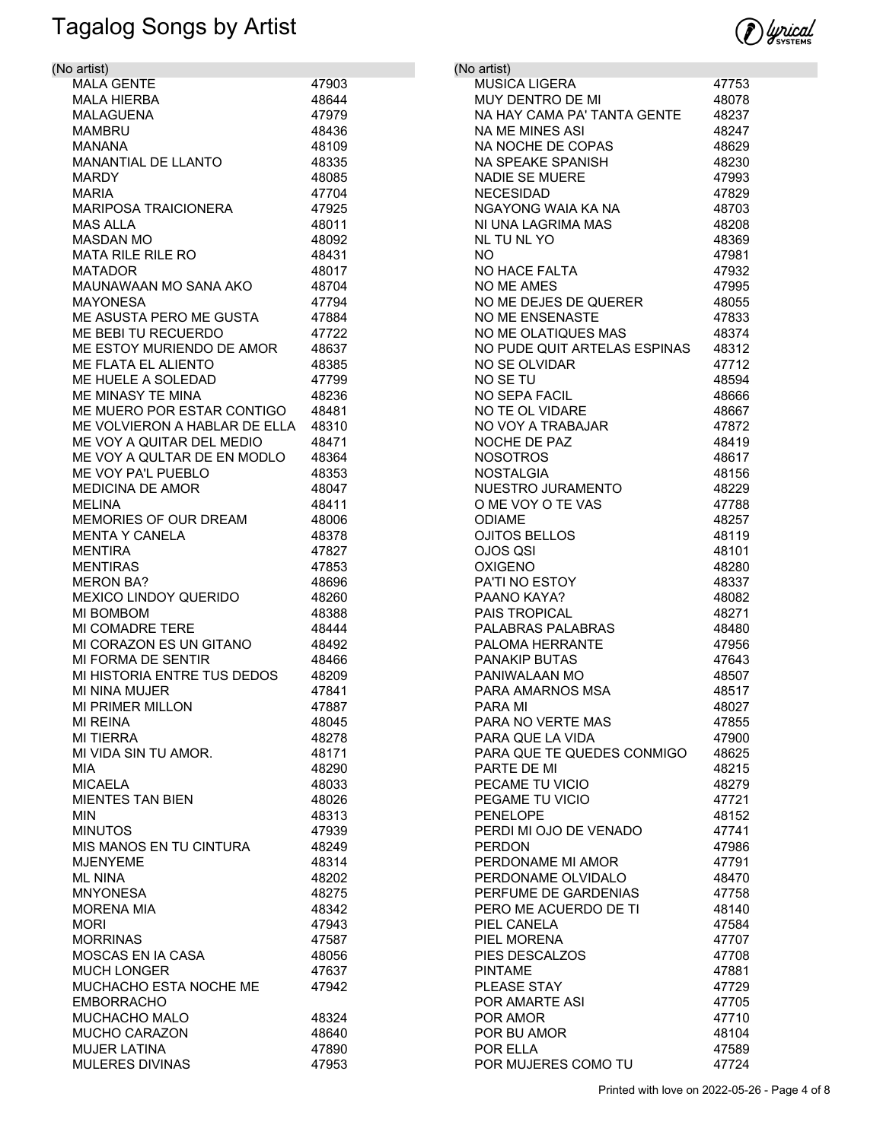| (No artist)                                 |       |
|---------------------------------------------|-------|
| <b>MALA GENTE</b>                           | 47903 |
| MALA HIERBA                                 | 48644 |
| MALAGUENA                                   | 47979 |
| MAMBRU                                      | 48436 |
| MANANA                                      | 48109 |
| MANANTIAL DE LLANTO                         | 48335 |
| MARDY                                       | 48085 |
| MARIA                                       | 47704 |
| <b>MARIPOSA TRAICIONERA</b>                 | 47925 |
| MAS ALLA                                    | 48011 |
| <b>MASDAN MO</b>                            | 48092 |
| <b>MATA RILE RILE RO</b>                    | 48431 |
| MATADOR                                     | 48017 |
| MAUNAWAAN MO SANA AKO                       | 48704 |
| MAYONESA                                    | 47794 |
| ME ASUSTA PERO ME GUSTA                     | 47884 |
| ME BEBI TU RECUERDO                         | 47722 |
| ME ESTOY MURIENDO DE AMOR                   | 48637 |
| <b>ME FLATA EL ALIENTO</b>                  | 48385 |
| <b>ME HUELE A SOLEDAD</b>                   | 47799 |
| ME MINASY TE MINA                           | 48236 |
| ME MUERO POR ESTAR CONTIGO                  | 48481 |
| ME VOLVIERON A HABLAR DE ELLA               | 48310 |
| ME VOY A QUITAR DEL MEDIO                   | 48471 |
| ME VOY A QULTAR DE EN MODLO                 | 48364 |
| <b>ME VOY PA'L PUEBLO</b>                   | 48353 |
| <b>MEDICINA DE AMOR</b>                     | 48047 |
| MELINA                                      | 48411 |
| <b>MEMORIES OF OUR DREAM</b>                | 48006 |
| <b>MENTA Y CANELA</b>                       | 48378 |
| MENTIRA                                     | 47827 |
| <b>MENTIRAS</b>                             | 47853 |
| <b>MERON BA?</b>                            | 48696 |
| MEXICO LINDOY QUERIDO                       | 48260 |
| <b>MI BOMBOM</b>                            | 48388 |
| MI COMADRE TERE                             | 48444 |
| MI CORAZON ES UN GITANO                     | 48492 |
| <b>MI FORMA DE SENTIR</b>                   | 48466 |
| MI HISTORIA ENTRE TUS DEDOS                 | 48209 |
| MI NINA MUJER                               | 47841 |
| MI PRIMER MILLON                            | 47887 |
| MI REINA                                    | 48045 |
| <b>MI TIERRA</b>                            | 48278 |
| MI VIDA SIN TU AMOR.                        | 48171 |
| MIA                                         | 48290 |
| <b>MICAELA</b>                              | 48033 |
| <b>MIENTES TAN BIEN</b>                     | 48026 |
| <b>MIN</b>                                  | 48313 |
| <b>MINUTOS</b>                              | 47939 |
| MIS MANOS EN TU CINTURA                     | 48249 |
| <b>MJENYEME</b>                             | 48314 |
| ML NINA                                     | 48202 |
| MNYONESA                                    | 48275 |
| <b>MORENA MIA</b>                           | 48342 |
| Mori                                        | 47943 |
| MORRINAS                                    | 47587 |
| MOSCAS EN IA CASA                           | 48056 |
| <b>MUCH LONGER</b>                          | 47637 |
| MUCHACHO ESTA NOCHE ME                      | 47942 |
| <b>EMBORRACHO</b>                           |       |
| <b>MUCHACHO MALO</b>                        | 48324 |
| <b>MUCHO CARAZON</b><br><b>MUJER LATINA</b> | 48640 |
|                                             | 47890 |
| <b>MULERES DIVINAS</b>                      | 47953 |



| (No artist)                                |                |
|--------------------------------------------|----------------|
| <b>MUSICA LIGERA</b>                       | 47753          |
| MUY DENTRO DE MI                           | 48078          |
| NA HAY CAMA PA' TANTA GENTE                | 48237          |
| <b>NA ME MINES ASI</b>                     | 48247          |
| NA NOCHE DE COPAS                          | 48629          |
| NA SPEAKE SPANISH                          | 48230          |
| <b>NADIE SE MUERE</b>                      | 47993          |
| <b>NECESIDAD</b>                           | 47829          |
| NGAYONG WAIA KA NA                         | 48703          |
| NI UNA LAGRIMA MAS                         | 48208          |
| <b>NL TU NL YO</b>                         | 48369          |
| NO.                                        | 47981          |
| <b>NO HACE FALTA</b>                       | 47932          |
| NO ME AMES                                 | 47995          |
| NO ME DEJES DE QUERER                      | 48055          |
| NO ME ENSENASTE                            | 47833          |
| NO ME OLATIQUES MAS                        | 48374          |
| NO PUDE QUIT ARTELAS ESPINAS               | 48312          |
| NO SE OLVIDAR                              | 47712          |
| NO SE TU                                   | 48594          |
| <b>NO SEPA FACIL</b>                       | 48666          |
| NO TE OL VIDARE                            | 48667          |
| NO VOY A TRABAJAR                          | 47872          |
| <b>NOCHE DE PAZ</b>                        | 48419          |
| <b>NOSOTROS</b><br><b>NOSTALGIA</b>        | 48617          |
| <b>NUESTRO JURAMENTO</b>                   | 48156<br>48229 |
| O ME VOY O TE VAS                          | 47788          |
| <b>ODIAME</b>                              | 48257          |
| <b>OJITOS BELLOS</b>                       | 48119          |
| OJOS QSI                                   | 48101          |
| <b>OXIGENO</b>                             | 48280          |
| <b>PA'TI NO ESTOY</b>                      | 48337          |
| PAANO KAYA?                                | 48082          |
| PAIS TROPICAL                              | 48271          |
| PALABRAS PALABRAS                          | 48480          |
| <b>PALOMA HERRANTE</b>                     | 47956          |
| PANAKIP BUTAS                              | 47643          |
| PANIWALAAN MO                              | 48507          |
| PARA AMARNOS MSA                           | 48517          |
| PARA MI                                    | 48027          |
| PARA NO VERTE MAS                          | 47855          |
| PARA QUE LA VIDA                           | 47900          |
| PARA QUE TE QUEDES CONMIGO                 | 48625          |
| PARTE DE MI                                | 48215          |
| PECAME TU VICIO                            | 48279          |
| PEGAME TU VICIO                            | 47721          |
| <b>PENELOPE</b>                            | 48152          |
| PERDI MI OJO DE VENADO                     | 47741          |
| <b>PERDON</b>                              | 47986          |
| PERDONAME MI AMOR                          | 47791          |
| PERDONAME OLVIDALO<br>PERFUME DE GARDENIAS | 48470          |
| PERO ME ACUERDO DE TI                      | 47758<br>48140 |
| PIEL CANELA                                | 47584          |
| PIEL MORENA                                | 47707          |
| PIES DESCALZOS                             | 47708          |
| <b>PINTAME</b>                             | 47881          |
| PLEASE STAY                                | 47729          |
| POR AMARTE ASI                             | 47705          |
| POR AMOR                                   | 47710          |
| POR BU AMOR                                | 48104          |
| POR ELLA                                   | 47589          |
| POR MUJERES COMO TU                        | 47724          |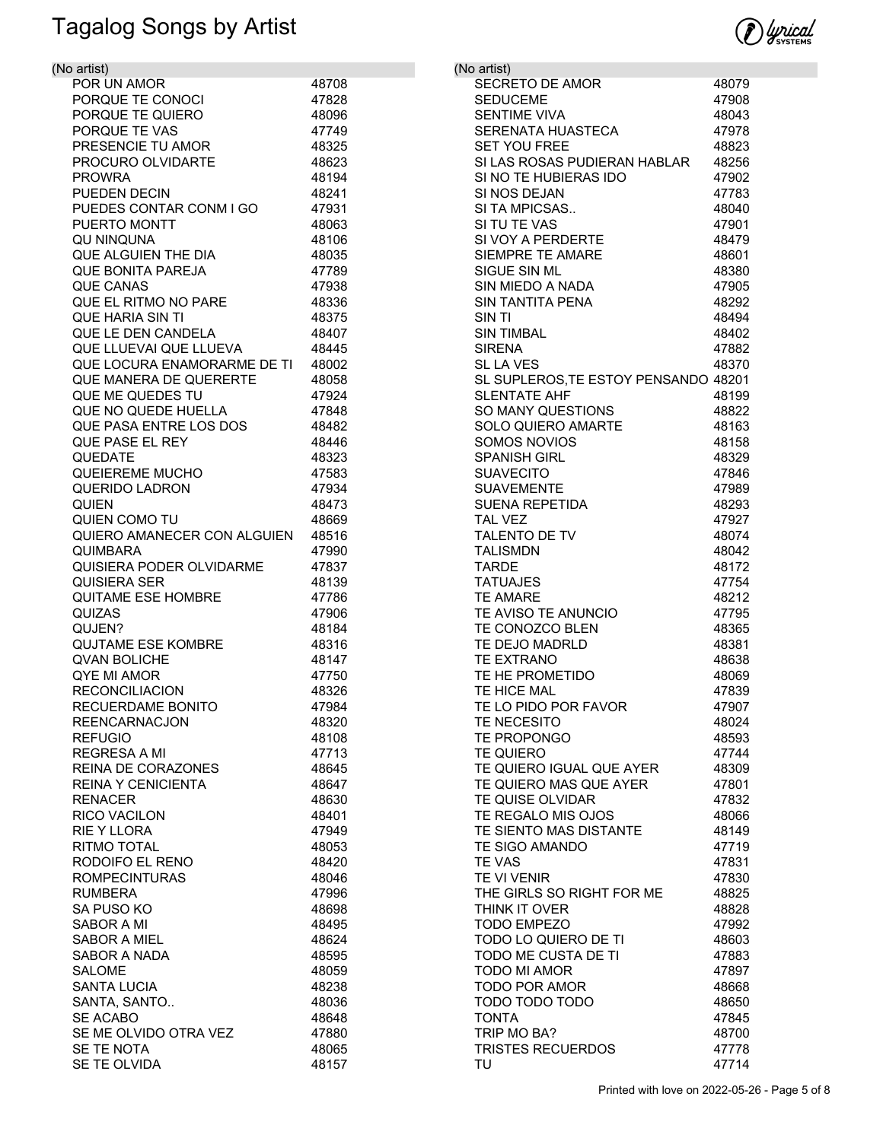| (No artist)                       |       |
|-----------------------------------|-------|
| POR UN AMOR                       | 48708 |
|                                   |       |
| PORQUE TE CONOCI                  | 47828 |
| PORQUE TE QUIERO                  | 48096 |
| PORQUE TE VAS                     | 47749 |
| PRESENCIE TU AMOR                 | 48325 |
| PROCURO OLVIDARTE                 | 48623 |
| <b>PROWRA</b>                     | 48194 |
| PUEDEN DECIN                      | 48241 |
| PUEDES CONTAR CONM I GO           | 47931 |
| PUERTO MONTT                      | 48063 |
| <b>QU NINQUNA</b>                 | 48106 |
| QUE ALGUIEN THE DIA               | 48035 |
| <b>QUE BONITA PAREJA</b>          |       |
|                                   | 47789 |
| <b>QUE CANAS</b>                  | 47938 |
| QUE EL RITMO NO PARE              | 48336 |
| QUE HARIA SIN TI                  | 48375 |
| QUE LE DEN CANDELA                | 48407 |
| QUE LLUEVAI QUE LLUEVA            | 48445 |
| QUE LOCURA ENAMORARME DE TI 48002 |       |
| QUE MANERA DE QUERERTE            | 48058 |
| QUE ME QUEDES TU                  | 47924 |
| QUE NO QUEDE HUELLA               | 47848 |
| QUE PASA ENTRE LOS DOS            | 48482 |
| QUE PASE EL REY                   | 48446 |
|                                   |       |
| <b>QUEDATE</b>                    | 48323 |
| QUEIEREME MUCHO                   | 47583 |
| <b>QUERIDO LADRON</b>             | 47934 |
| QUIEN                             | 48473 |
| QUIEN COMO TU                     | 48669 |
| QUIERO AMANECER CON ALGUIEN       | 48516 |
| QUIMBARA                          | 47990 |
| QUISIERA PODER OLVIDARME          | 47837 |
| QUISIERA SER                      | 48139 |
| <b>QUITAME ESE HOMBRE</b>         | 47786 |
| QUIZAS                            | 47906 |
| QUJEN?                            | 48184 |
|                                   |       |
| <b>QUJTAME ESE KOMBRE</b>         | 48316 |
| <b>QVAN BOLICHE</b>               | 48147 |
| QYE MI AMOR                       | 47750 |
| <b>RECONCILIACION</b>             | 48326 |
| RECUERDAME BONITO                 | 47984 |
| <b>REENCARNACJON</b>              | 48320 |
| <b>REFUGIO</b>                    | 48108 |
| <b>REGRESA A MI</b>               | 47713 |
| <b>REINA DE CORAZONES</b>         | 48645 |
| <b>REINA Y CENICIENTA</b>         | 48647 |
| RENACER                           | 48630 |
| <b>RICO VACILON</b>               | 48401 |
| <b>RIE Y LLORA</b>                | 47949 |
|                                   |       |
| <b>RITMO TOTAL</b>                | 48053 |
| RODOIFO EL RENO                   | 48420 |
| <b>ROMPECINTURAS</b>              | 48046 |
| RUMBERA                           | 47996 |
| SA PUSO KO                        | 48698 |
| SABOR A MI                        | 48495 |
| <b>SABOR A MIEL</b>               | 48624 |
| SABOR A NADA                      | 48595 |
| SALOME                            | 48059 |
| <b>SANTA LUCIA</b>                | 48238 |
| SANTA, SANTO                      | 48036 |
| SE ACABO                          | 48648 |
| SE ME OLVIDO OTRA VEZ             | 47880 |
|                                   |       |
| SE TE NOTA                        | 48065 |
| SE TE OLVIDA                      | 48157 |



| (No artist)                          |                |
|--------------------------------------|----------------|
| <b>SECRETO DE AMOR</b>               | 48079          |
| <b>SEDUCEME</b>                      | 47908          |
| <b>SENTIME VIVA</b>                  | 48043          |
| <b>SERENATA HUASTECA</b>             | 47978          |
| <b>SET YOU FREE</b>                  | 48823          |
| SI LAS ROSAS PUDIERAN HABLAR         | 48256          |
| SI NO TE HUBIERAS IDO                | 47902          |
| SI NOS DEJAN                         | 47783          |
| SI TA MPICSAS                        | 48040          |
| SI TU TE VAS                         | 47901          |
| SI VOY A PERDERTE                    | 48479          |
| SIEMPRE TE AMARE                     | 48601          |
| <b>SIGUE SIN ML</b>                  | 48380          |
| SIN MIEDO A NADA                     | 47905          |
| <b>SIN TANTITA PENA</b>              | 48292          |
| SIN TI                               | 48494          |
| <b>SIN TIMBAL</b>                    | 48402          |
| <b>SIRENA</b>                        | 47882          |
| <b>SL LA VES</b>                     | 48370          |
| SL SUPLEROS, TE ESTOY PENSANDO 48201 |                |
| <b>SLENTATE AHF</b>                  | 48199          |
| SO MANY QUESTIONS                    | 48822          |
| <b>SOLO QUIERO AMARTE</b>            | 48163          |
| SOMOS NOVIOS                         | 48158          |
| <b>SPANISH GIRL</b>                  | 48329          |
| <b>SUAVECITO</b>                     | 47846          |
| <b>SUAVEMENTE</b>                    | 47989          |
| <b>SUENA REPETIDA</b><br>TAL VEZ     | 48293          |
| <b>TALENTO DE TV</b>                 | 47927<br>48074 |
| <b>TALISMDN</b>                      | 48042          |
| <b>TARDE</b>                         | 48172          |
| <b>TATUAJES</b>                      | 47754          |
| <b>TE AMARE</b>                      | 48212          |
| TE AVISO TE ANUNCIO                  | 47795          |
| TE CONOZCO BLEN                      | 48365          |
| TE DEJO MADRLD                       | 48381          |
| <b>TE EXTRANO</b>                    | 48638          |
| TE HE PROMETIDO                      | 48069          |
| TE HICE MAL                          | 47839          |
| TE LO PIDO POR FAVOR                 | 47907          |
| TE NECESITO                          | 48024          |
| TE PROPONGO                          | 48593          |
| <b>TE QUIERO</b>                     | 47744          |
| TE QUIERO IGUAL QUE AYER             | 48309          |
| TE QUIERO MAS QUE AYER               | 47801          |
| TE QUISE OLVIDAR                     | 47832          |
| TE REGALO MIS OJOS                   | 48066          |
| TE SIENTO MAS DISTANTE               | 48149          |
| TE SIGO AMANDO                       | 47719          |
| <b>TE VAS</b>                        | 47831          |
| TE VI VENIR                          | 47830          |
| THE GIRLS SO RIGHT FOR ME            | 48825          |
| THINK IT OVER<br><b>TODO EMPEZO</b>  | 48828          |
| TODO LO QUIERO DE TI                 | 47992<br>48603 |
| TODO ME CUSTA DE TI                  | 47883          |
| <b>TODO MI AMOR</b>                  | 47897          |
| TODO POR AMOR                        | 48668          |
| TODO TODO TODO                       | 48650          |
| <b>TONTA</b>                         | 47845          |
| TRIP MO BA?                          | 48700          |
| <b>TRISTES RECUERDOS</b>             | 47778          |
| TU                                   | 47714          |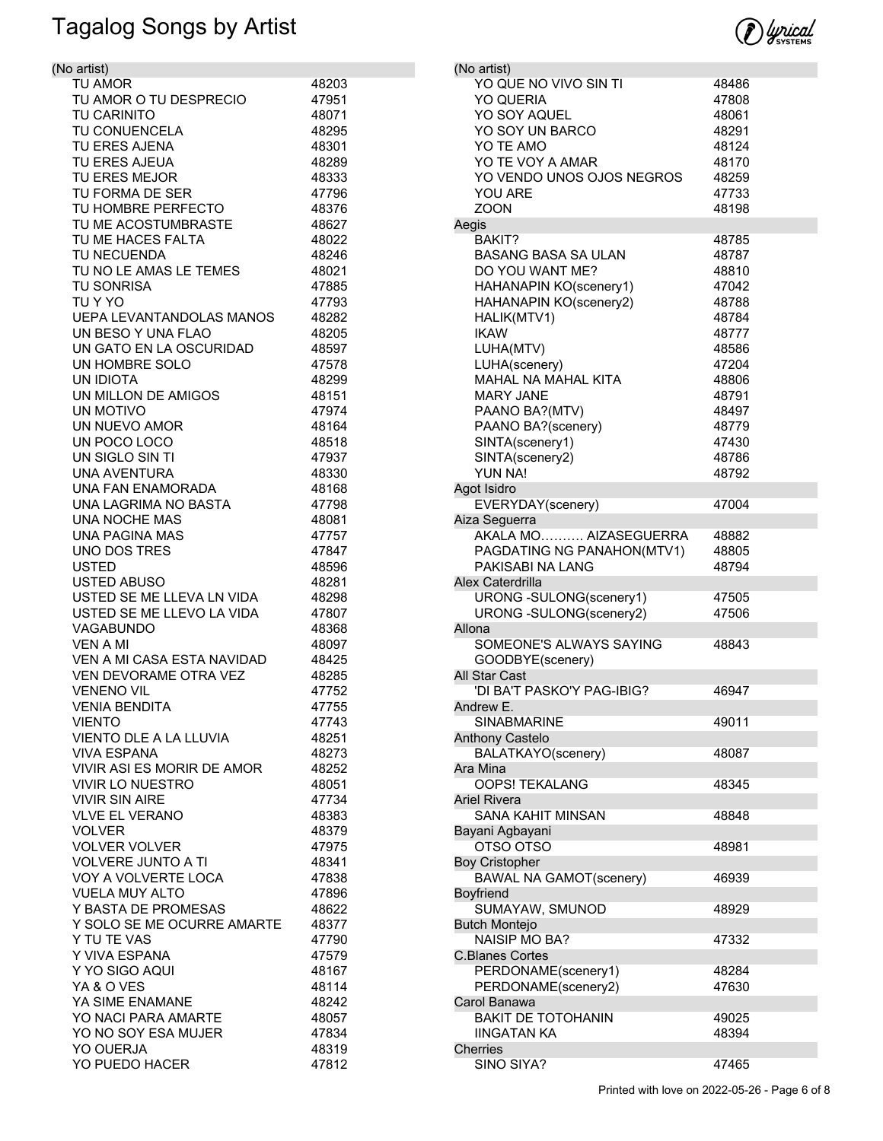| (No artist)                                       |                |
|---------------------------------------------------|----------------|
| TU AMOR                                           | 48203          |
| TU AMOR O TU DESPRECIO                            | 47951          |
| <b>TU CARINITO</b>                                | 48071          |
| TU CONUENCELA                                     | 48295          |
| TU ERES AJENA                                     | 48301          |
| TU ERES AJEUA                                     | 48289          |
| TU ERES MEJOR<br>TU FORMA DE SER                  | 48333<br>47796 |
| TU HOMBRE PERFECTO                                | 48376          |
| TU ME ACOSTUMBRASTE                               | 48627          |
| TU ME HACES FALTA                                 | 48022          |
| TU NECUENDA                                       | 48246          |
| TU NO LE AMAS LE TEMES                            | 48021          |
| <b>TU SONRISA</b>                                 | 47885          |
| TU Y YO                                           | 47793          |
| UEPA LEVANTANDOLAS MANOS                          | 48282          |
| UN BESO Y UNA FLAO                                | 48205          |
| UN GATO EN LA OSCURIDAD                           | 48597          |
| UN HOMBRE SOLO                                    | 47578          |
| <b>UN IDIOTA</b>                                  | 48299          |
| UN MILLON DE AMIGOS                               | 48151          |
| UN MOTIVO<br>UN NUEVO AMOR                        | 47974          |
| UN POCO LOCO                                      | 48164<br>48518 |
| UN SIGLO SIN TI                                   | 47937          |
| <b>UNA AVENTURA</b>                               | 48330          |
| UNA FAN ENAMORADA                                 | 48168          |
| UNA LAGRIMA NO BASTA                              | 47798          |
| <b>UNA NOCHE MAS</b>                              | 48081          |
| <b>UNA PAGINA MAS</b>                             | 47757          |
| <b>UNO DOS TRES</b>                               | 47847          |
| <b>USTED</b>                                      | 48596          |
| <b>USTED ABUSO</b>                                | 48281          |
| USTED SE ME LLEVA LN VIDA                         | 48298          |
| USTED SE ME LLEVO LA VIDA                         | 47807          |
| <b>VAGABUNDO</b><br><b>VEN A MI</b>               | 48368          |
| VEN A MI CASA ESTA NAVIDAD                        | 48097<br>48425 |
| VEN DEVORAME OTRA VEZ                             | 48285          |
| <b>VENENO VIL</b>                                 | 47752          |
| VENIA BENDITA                                     | 47755          |
| <b>VIENTO</b>                                     | 47743          |
| VIENTO DLE A LA LLUVIA                            | 48251          |
| <b>VIVA ESPANA</b>                                | 48273          |
| VIVIR ASI ES MORIR DE AMOR                        | 48252          |
| VIVIR LO NUESTRO                                  | 48051          |
| <b>VIVIR SIN AIRE</b>                             | 47734          |
| <b>VLVE EL VERANO</b>                             | 48383          |
| <b>VOLVER</b>                                     | 48379          |
| <b>VOLVER VOLVER</b><br><b>VOLVERE JUNTO A TI</b> | 47975<br>48341 |
| VOY A VOLVERTE LOCA                               | 47838          |
| <b>VUELA MUY ALTO</b>                             | 47896          |
| Y BASTA DE PROMESAS                               | 48622          |
| Y SOLO SE ME OCURRE AMARTE                        | 48377          |
| Y TU TE VAS                                       | 47790          |
| Y VIVA ESPANA                                     | 47579          |
| Y YO SIGO AQUI                                    | 48167          |
| YA & O VES                                        | 48114          |
| YA SIME ENAMANE                                   | 48242          |
| YO NACI PARA AMARTE                               | 48057          |
| YO NO SOY ESA MUJER<br>YO OUERJA                  | 47834<br>48319 |
| YO PUEDO HACER                                    | 47812          |
|                                                   |                |



| (No artist)                    |       |
|--------------------------------|-------|
| YO QUE NO VIVO SIN TI          | 48486 |
| <b>YO QUERIA</b>               | 47808 |
| YO SOY AQUEL                   |       |
|                                | 48061 |
| YO SOY UN BARCO                | 48291 |
| YO TE AMO                      | 48124 |
| YO TE VOY A AMAR               | 48170 |
| YO VENDO UNOS OJOS NEGROS      | 48259 |
| YOU ARE                        | 47733 |
| <b>ZOON</b>                    | 48198 |
| Aegis                          |       |
| BAKIT?                         | 48785 |
| <b>BASANG BASA SA ULAN</b>     | 48787 |
| DO YOU WANT ME?                | 48810 |
| HAHANAPIN KO(scenery1)         | 47042 |
| HAHANAPIN KO(scenery2)         | 48788 |
|                                | 48784 |
| HALIK(MTV1)                    |       |
| <b>IKAW</b>                    | 48777 |
| LUHA(MTV)                      | 48586 |
| LUHA(scenery)                  | 47204 |
| <b>MAHAL NA MAHAL KITA</b>     | 48806 |
| <b>MARY JANE</b>               | 48791 |
| PAANO BA?(MTV)                 | 48497 |
| PAANO BA?(scenery)             | 48779 |
| SINTA(scenery1)                | 47430 |
| SINTA(scenery2)                | 48786 |
| <b>YUN NA!</b>                 | 48792 |
| Agot Isidro                    |       |
| EVERYDAY(scenery)              | 47004 |
|                                |       |
| Aiza Seguerra                  |       |
| AKALA MO AIZASEGUERRA          | 48882 |
| PAGDATING NG PANAHON(MTV1)     | 48805 |
| PAKISABI NA LANG               | 48794 |
| Alex Caterdrilla               |       |
| URONG -SULONG(scenery1)        | 47505 |
| URONG -SULONG(scenery2)        | 47506 |
| Allona                         |       |
| SOMEONE'S ALWAYS SAYING        | 48843 |
| GOODBYE(scenery)               |       |
| All Star Cast                  |       |
| 'DI BA'T PASKO'Y PAG-IBIG?     | 46947 |
| Andrew E.                      |       |
| <b>SINABMARINE</b>             | 49011 |
|                                |       |
| <b>Anthony Castelo</b>         |       |
| BALATKAYO(scenery)             | 48087 |
| Ara Mina                       |       |
| <b>OOPS! TEKALANG</b>          | 48345 |
| <b>Ariel Rivera</b>            |       |
| <b>SANA KAHIT MINSAN</b>       | 48848 |
| Bayani Agbayani                |       |
| OTSO OTSO                      | 48981 |
| <b>Boy Cristopher</b>          |       |
| <b>BAWAL NA GAMOT(scenery)</b> | 46939 |
| Boyfriend                      |       |
| SUMAYAW, SMUNOD                | 48929 |
|                                |       |
| <b>Butch Montejo</b>           |       |
| <b>NAISIP MO BA?</b>           | 47332 |
| <b>C.Blanes Cortes</b>         |       |
| PERDONAME(scenery1)            | 48284 |
| PERDONAME(scenery2)            | 47630 |
| Carol Banawa                   |       |
| <b>BAKIT DE TOTOHANIN</b>      | 49025 |
| <b>IINGATAN KA</b>             | 48394 |
| <b>Cherries</b>                |       |
| SINO SIYA?                     | 47465 |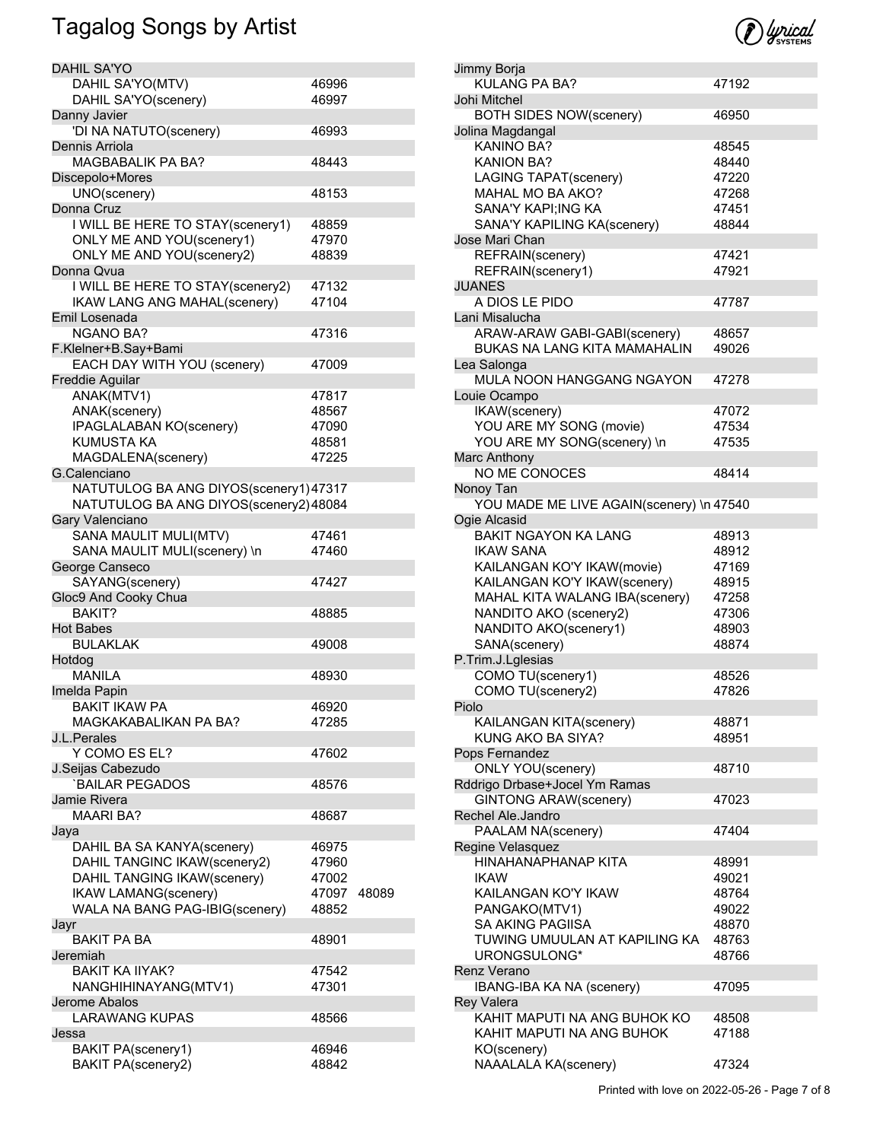| <b>DAHIL SA'YO</b>                                     |                |       |
|--------------------------------------------------------|----------------|-------|
| DAHIL SA'YO(MTV)                                       | 46996          |       |
| DAHIL SA'YO(scenery)                                   | 46997          |       |
| Danny Javier                                           |                |       |
| 'DI NA NATUTO(scenery)                                 | 46993          |       |
| Dennis Arriola                                         |                |       |
| <b>MAGBABALIK PA BA?</b>                               | 48443          |       |
| Discepolo+Mores                                        |                |       |
| UNO(scenery)                                           | 48153          |       |
| Donna Cruz                                             |                |       |
| I WILL BE HERE TO STAY(scenery1)                       | 48859          |       |
| ONLY ME AND YOU(scenery1)                              | 47970          |       |
| ONLY ME AND YOU(scenery2)                              | 48839          |       |
| Donna Qvua                                             |                |       |
| I WILL BE HERE TO STAY(scenery2)                       | 47132          |       |
| <b>IKAW LANG ANG MAHAL(scenery)</b>                    | 47104          |       |
| Emil Losenada                                          |                |       |
| <b>NGANO BA?</b>                                       | 47316          |       |
| F.Klelner+B.Say+Bami                                   |                |       |
| EACH DAY WITH YOU (scenery)                            | 47009          |       |
| Freddie Aguilar                                        |                |       |
| ANAK(MTV1)                                             | 47817          |       |
| ANAK(scenery)                                          | 48567          |       |
| IPAGLALABAN KO(scenery)                                | 47090          |       |
| <b>KUMUSTA KA</b>                                      | 48581          |       |
| MAGDALENA(scenery)                                     | 47225          |       |
| G.Calenciano                                           |                |       |
| NATUTULOG BA ANG DIYOS(scenery1)47317                  |                |       |
| NATUTULOG BA ANG DIYOS(scenery2)48084                  |                |       |
| Gary Valenciano                                        |                |       |
| SANA MAULIT MULI(MTV)                                  | 47461          |       |
| SANA MAULIT MULI(scenery) \n                           | 47460          |       |
| George Canseco                                         |                |       |
| SAYANG(scenery)                                        | 47427          |       |
| Gloc9 And Cooky Chua                                   |                |       |
| BAKIT?                                                 | 48885          |       |
| <b>Hot Babes</b>                                       |                |       |
| <b>BULAKLAK</b>                                        | 49008          |       |
| Hotdog                                                 |                |       |
| <b>MANII A</b>                                         | 48930          |       |
| Imelda Papin                                           |                |       |
| <b>BAKIT IKAW PA</b>                                   | 46920          |       |
| MAGKAKABALIKAN PA BA?                                  | 47285          |       |
| <b>J.L.Perales</b>                                     |                |       |
| Y COMO ES EL?                                          | 47602          |       |
| J.Seijas Cabezudo                                      |                |       |
| `BAILAR PEGADOS                                        | 48576          |       |
| Jamie Rivera                                           |                |       |
| MAARI BA?                                              | 48687          |       |
| Jaya                                                   |                |       |
| DAHIL BA SA KANYA(scenery)                             | 46975          |       |
| DAHIL TANGINC IKAW(scenery2)                           | 47960          |       |
| DAHIL TANGING IKAW(scenery)                            | 47002          |       |
| <b>IKAW LAMANG(scenery)</b>                            | 47097          | 48089 |
| WALA NA BANG PAG-IBIG(scenery)                         | 48852          |       |
| Jayr                                                   |                |       |
| <b>BAKIT PA BA</b>                                     | 48901          |       |
| Jeremiah                                               |                |       |
| <b>BAKIT KA IIYAK?</b>                                 | 47542          |       |
| NANGHIHINAYANG(MTV1)                                   | 47301          |       |
| Jerome Abalos                                          |                |       |
| <b>LARAWANG KUPAS</b>                                  |                |       |
|                                                        |                |       |
|                                                        | 48566          |       |
| Jessa                                                  |                |       |
| <b>BAKIT PA(scenery1)</b><br><b>BAKIT PA(scenery2)</b> | 46946<br>48842 |       |



| Jimmy Borja                                |       |
|--------------------------------------------|-------|
| KULANG PA BA?                              | 47192 |
| Johi Mitchel                               |       |
| <b>BOTH SIDES NOW(scenery)</b>             | 46950 |
| Jolina Magdangal                           |       |
| <b>KANINO BA?</b>                          | 48545 |
| <b>KANION BA?</b>                          | 48440 |
| <b>LAGING TAPAT(scenery)</b>               | 47220 |
| <b>MAHAL MO BA AKO?</b>                    | 47268 |
| SANA'Y KAPI; ING KA                        | 47451 |
| SANA'Y KAPILING KA(scenery)                | 48844 |
| Jose Mari Chan                             |       |
| REFRAIN(scenery)                           | 47421 |
| REFRAIN(scenery1)                          | 47921 |
| <b>JUANES</b>                              |       |
| A DIOS LE PIDO                             | 47787 |
| Lani Misalucha                             |       |
| ARAW-ARAW GABI-GABI(scenery)               | 48657 |
| <b>BUKAS NA LANG KITA MAMAHALIN</b>        | 49026 |
| Lea Salonga                                |       |
| MULA NOON HANGGANG NGAYON                  | 47278 |
| Louie Ocampo                               |       |
| IKAW(scenery)                              | 47072 |
| YOU ARE MY SONG (movie)                    | 47534 |
|                                            |       |
| YOU ARE MY SONG(scenery) \n                | 47535 |
| Marc Anthony                               |       |
| NO ME CONOCES                              | 48414 |
| Nonoy Tan                                  |       |
| YOU MADE ME LIVE AGAIN(scenery) \n 47540   |       |
| Ogie Alcasid                               |       |
| <b>BAKIT NGAYON KA LANG</b>                | 48913 |
| <b>IKAW SANA</b>                           | 48912 |
| KAILANGAN KO'Y IKAW(movie)                 | 47169 |
| KAILANGAN KO'Y IKAW(scenery)               | 48915 |
| MAHAL KITA WALANG IBA(scenery)             | 47258 |
| NANDITO AKO (scenery2)                     | 47306 |
| NANDITO AKO(scenery1)                      | 48903 |
| SANA(scenery)                              | 48874 |
| P.Trim.J.Lglesias                          |       |
| COMO TU(scenery1)                          | 48526 |
| COMO TU(scenery2)                          | 47826 |
| Piolo                                      |       |
| KAILANGAN KITA(scenery)                    | 48871 |
| KUNG AKO BA SIYA?                          | 48951 |
| Pops Fernandez                             |       |
| <b>ONLY YOU</b> (scenery)                  | 48710 |
| Rddrigo Drbase+Jocel Ym Ramas              |       |
| GINTONG ARAW(scenery)                      | 47023 |
| Rechel Ale.Jandro                          |       |
| PAALAM NA(scenery)                         | 47404 |
| Regine Velasquez                           |       |
| <b>HINAHANAPHANAP KITA</b>                 | 48991 |
| <b>IKAW</b>                                | 49021 |
| KAILANGAN KO'Y IKAW                        | 48764 |
| PANGAKO(MTV1)                              | 49022 |
| <b>SA AKING PAGIISA</b>                    | 48870 |
| TUWING UMUULAN AT KAPILING KA              | 48763 |
| URONGSULONG*                               | 48766 |
| Renz Verano                                |       |
|                                            |       |
| IBANG-IBA KA NA (scenery)                  | 47095 |
| Rey Valera                                 |       |
| KAHIT MAPUTI NA ANG BUHOK KO               |       |
|                                            | 48508 |
| KAHIT MAPUTI NA ANG BUHOK                  | 47188 |
| KO(scenery)<br><b>NAAALALA KA(scenery)</b> | 47324 |